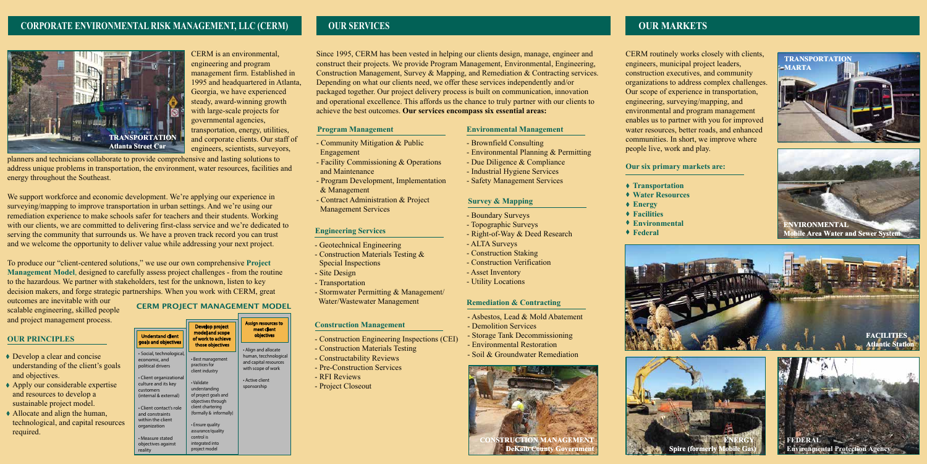## **CORPORATE ENVIRONMENTAL RISK MANAGEMENT, LLC (CERM)**

## CERM PROJECT MANAGEMENT MODEL

CERM is an environmental, engineering and program management firm. Established in 1995 and headquartered in Atlanta, Georgia, we have experienced steady, award-winning growth with large-scale projects for governmental agencies, transportation, energy, utilities, and corporate clients. Our staff of engineers, scientists, surveyors,

 address unique problems in transportation, the environment, water resources, facilities and planners and technicians collaborate to provide comprehensive and lasting solutions to energy throughout the Southeast.

We support workforce and economic development. We're applying our experience in surveying/mapping to improve transportation in urban settings. And we're using our remediation experience to make schools safer for teachers and their students. Working with our clients, we are committed to delivering first-class service and we're dedicated to serving the community that surrounds us. We have a proven track record you can trust and we welcome the opportunity to deliver value while addressing your next project.

To produce our "client-centered solutions," we use our own comprehensive **Project Management Model**, designed to carefully assess project challenges - from the routine to the hazardous. We partner with stakeholders, test for the unknown, listen to key decision makers, and forge strategic partnerships. When you work with CERM, great

outcomes are inevitable with our scalable engineering, skilled people and project management process.



## **OUR PRINCIPLES**

|    | <b>Understand client</b>                                                             | Develop project<br>model and scope<br>of work to achieve                  | <b>Assign resources to</b><br>meet client<br>objectives                                      |
|----|--------------------------------------------------------------------------------------|---------------------------------------------------------------------------|----------------------------------------------------------------------------------------------|
|    | goals and objectives                                                                 | those objectives                                                          | • Align and allocate<br>human, tecchnological<br>and capital resources<br>with scope of work |
|    | · Social, technological,<br>economic, and<br>political drivers                       | • Best management<br>practices for<br>client industry                     |                                                                                              |
|    | • Client organizational<br>culture and its key<br>customers<br>(internal & external) | • Validate<br>understanding<br>of project goals and<br>objectives through | • Active client<br>sponsorship                                                               |
| es | • Client contact's role<br>and constraints<br>within the client                      | client chartering<br>(formally & informally)                              |                                                                                              |
|    | organization                                                                         | • Ensure quality<br>assurance/quality                                     |                                                                                              |
|    | • Measure stated<br>objectives against<br>reality                                    | control is<br>integrated into<br>project model                            |                                                                                              |

◆ Transportation  **Water Resources Facilities Environmental Federal**

- Develop a clear and concise understanding of the client's goals and objectives.
- ◆ Apply our considerable expertise and resources to develop a sustainable project model.
- Allocate and align the human, technological, and capital resource required.

# **OUR SERVICES**

Since 1995, CERM has been vested in helping our clients design, manage, engineer and construct their projects. We provide Program Management, Environmental, Engineering, Construction Management, Survey & Mapping, and Remediation & Contracting services. Depending on what our clients need, we offer these services independently and/or packaged together. Our project delivery process is built on communication, innovation and operational excellence. This affords us the chance to truly partner with our clients to achieve the best outcomes. **Our services encompass six essential areas:** 

# **Environmental Management**

- Brownfield Consulting
- Environmental Planning & Permitting
- Due Diligence & Compliance
- Industrial Hygiene Services
- Safety Management Services

- Boundary Surveys
- Topographic Surveys
- Right-of-Way & Deed Research
- ALTA Surveys
- Construction Staking
- Construction Verification
- Asset Inventory
- Utility Locations

#### **Survey & Mapping**

## **Remediation & Contracting**

#### **Engineering Services**

# **OUR MARKETS**

CERM routinely works closely with clients, engineers, municipal project leaders, construction executives, and community organizations to address complex challenges. Our scope of experience in transportation, engineering, surveying/mapping, and environmental and program management enables us to partner with you for improved water resources, better roads, and enhanced communities. In short, we improve where people live, work and play.

**Our six primary markets are:**

- 
- 
- **Energy**
- 
- 
- - -
		-









- Asbestos, Lead & Mold Abatement
- Demolition Services
- Storage Tank Decommissioning
- Environmental Restoration
- Soil & Groundwater Remediation

#### **Construction Management**



- Construction Engineering Inspections (CEI)
- Construction Materials Testing
- Constructability Reviews
- Pre-Construction Services
- RFI Reviews
- Project Closeout





- Community Mitigation & Public Engagement
- Facility Commissioning & Operations and Maintenance
- Program Development, Implementation & Management
- Contract Administration & Project Management Services

#### **Program Management**

- Geotechnical Engineering
- - Construction Materials Testing & Special Inspections
- Site Design
- Transportation
- Stormwater Permitting & Management/ Water/Wastewater Management